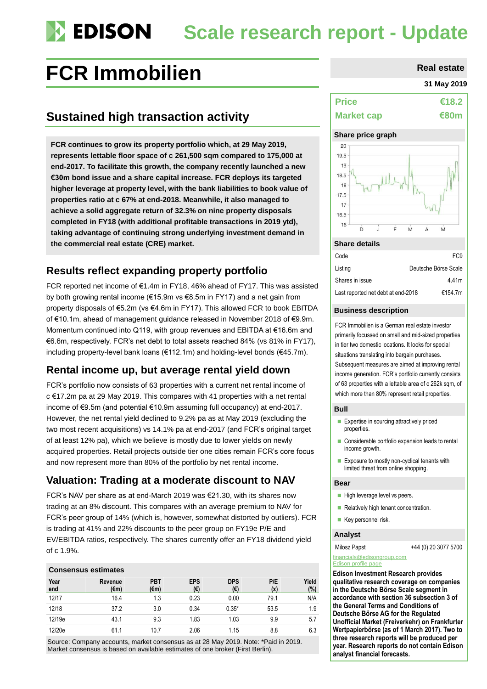# **Scale research report - Update**

## FCR Immobilien **Real estate**

## **Sustained high transaction activity**

**FCR continues to grow its property portfolio which, at 29 May 2019, represents lettable floor space of c 261,500 sqm compared to 175,000 at end-2017. To facilitate this growth, the company recently launched a new €30m bond issue and a share capital increase. FCR deploys its targeted higher leverage at property level, with the bank liabilities to book value of properties ratio at c 67% at end-2018. Meanwhile, it also managed to achieve a solid aggregate return of 32.3% on nine property disposals completed in FY18 (with additional profitable transactions in 2019 ytd), taking advantage of continuing strong underlying investment demand in the commercial real estate (CRE) market.**

### **Results reflect expanding property portfolio**

FCR reported net income of €1.4m in FY18, 46% ahead of FY17. This was assisted by both growing rental income (€15.9m vs €8.5m in FY17) and a net gain from property disposals of €5.2m (vs €4.6m in FY17). This allowed FCR to book EBITDA of €10.1m, ahead of management guidance released in November 2018 of €9.9m. Momentum continued into Q119, with group revenues and EBITDA at €16.6m and €6.6m, respectively. FCR's net debt to total assets reached 84% (vs 81% in FY17), including property-level bank loans (€112.1m) and holding-level bonds (€45.7m).

### **Rental income up, but average rental yield down**

FCR's portfolio now consists of 63 properties with a current net rental income of c €17.2m pa at 29 May 2019. This compares with 41 properties with a net rental income of €9.5m (and potential €10.9m assuming full occupancy) at end-2017. However, the net rental yield declined to 9.2% pa as at May 2019 (excluding the two most recent acquisitions) vs 14.1% pa at end-2017 (and FCR's original target of at least 12% pa), which we believe is mostly due to lower yields on newly acquired properties. Retail projects outside tier one cities remain FCR's core focus and now represent more than 80% of the portfolio by net rental income.

### **Valuation: Trading at a moderate discount to NAV**

FCR's NAV per share as at end-March 2019 was €21.30, with its shares now trading at an 8% discount. This compares with an average premium to NAV for FCR's peer group of 14% (which is, however, somewhat distorted by outliers). FCR is trading at 41% and 22% discounts to the peer group on FY19e P/E and EV/EBITDA ratios, respectively. The shares currently offer an FY18 dividend yield of c 1.9%.

### **Consensus estimates**

| Year<br>end | Revenue<br>(€m) | <b>PBT</b><br>$(\epsilon m)$ | <b>EPS</b><br>(€) | <b>DPS</b><br>(€) | P/E<br>(x) | Yield<br>(%) |
|-------------|-----------------|------------------------------|-------------------|-------------------|------------|--------------|
| 12/17       | 16.4            | 1.3                          | 0.23              | 0.00              | 79.1       | N/A          |
| 12/18       | 37.2            | 3.0                          | 0.34              | $0.35*$           | 53.5       | 1.9          |
| 12/19e      | 43.1            | 9.3                          | 1.83              | 1.03              | 9.9        | 5.7          |
| 12/20e      | 61.1            | 10.7                         | 2.06              | 1.15              | 8.8        | 6.3          |

Source: Company accounts, market consensus as at 28 May 2019. Note: \*Paid in 2019. Market consensus is based on available estimates of one broker (First Berlin).

#### **31 May 2019**

| <b>Price</b>      | €18.2 |
|-------------------|-------|
| <b>Market cap</b> | €80m  |

#### **Share price graph**



#### **Share details**

| Code                               | FC <sub>9</sub>      |
|------------------------------------|----------------------|
| Listing                            | Deutsche Börse Scale |
| Shares in issue                    | 4.41m                |
| Last reported net debt at end-2018 | €154.7m              |

#### **Business description**

FCR Immobilien is a German real estate investor primarily focussed on small and mid-sized properties in tier two domestic locations. It looks for special situations translating into bargain purchases. Subsequent measures are aimed at improving rental income generation. FCR's portfolio currently consists of 63 properties with a lettable area of c 262k sqm, of which more than 80% represent retail properties.

#### **Bull**

- **Expertise in sourcing attractively priced** properties.
- Considerable portfolio expansion leads to rental income growth.
- Exposure to mostly non-cyclical tenants with limited threat from online shopping.

#### **Bear**

- $\blacksquare$  High leverage level vs peers.
- Relatively high tenant concentration.
- $\blacksquare$  Key personnel risk.

#### **Analyst**

Milosz Papst +44 (0) 20 3077 5700

#### [financials@edisongroup.com](mailto:financials@edisongroup.com) [Edison profile page](https://www.edisongroup.com/company/fcr-immobilien)

**Edison Investment Research provides qualitative research coverage on companies in the Deutsche Börse Scale segment in accordance with section 36 subsection 3 of the General Terms and Conditions of Deutsche Börse AG for the Regulated Unofficial Market (Freiverkehr) on Frankfurter Wertpapierbörse (as of 1 March 2017). Two to three research reports will be produced per year. Research reports do not contain Edison analyst financial forecasts.**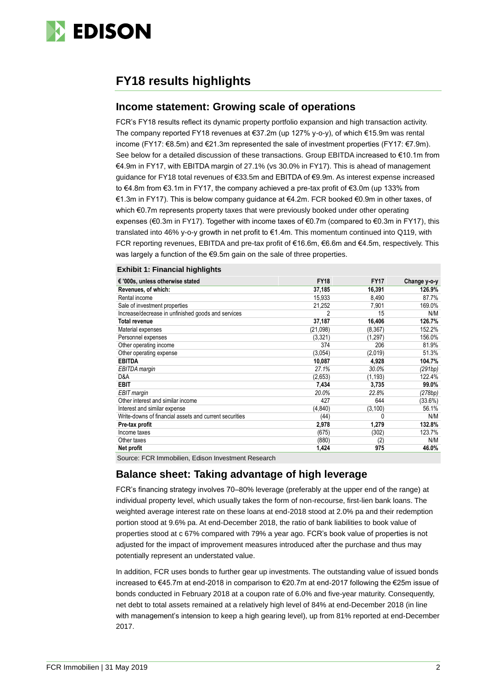

### **FY18 results highlights**

### **Income statement: Growing scale of operations**

FCR's FY18 results reflect its dynamic property portfolio expansion and high transaction activity. The company reported FY18 revenues at €37.2m (up 127% y-o-y), of which €15.9m was rental income (FY17: €8.5m) and €21.3m represented the sale of investment properties (FY17: €7.9m). See below for a detailed discussion of these transactions. Group EBITDA increased to €10.1m from €4.9m in FY17, with EBITDA margin of 27.1% (vs 30.0% in FY17). This is ahead of management guidance for FY18 total revenues of €33.5m and EBITDA of €9.9m. As interest expense increased to €4.8m from €3.1m in FY17, the company achieved a pre-tax profit of €3.0m (up 133% from €1.3m in FY17). This is below company guidance at €4.2m. FCR booked €0.9m in other taxes, of which €0.7m represents property taxes that were previously booked under other operating expenses (€0.3m in FY17). Together with income taxes of €0.7m (compared to €0.3m in FY17), this translated into 46% y-o-y growth in net profit to €1.4m. This momentum continued into Q119, with FCR reporting revenues, EBITDA and pre-tax profit of €16.6m, €6.6m and €4.5m, respectively. This was largely a function of the €9.5m gain on the sale of three properties.

#### **Exhibit 1: Financial highlights**

| € '000s, unless otherwise stated                                              | <b>FY18</b> | <b>FY17</b> | Change y-o-y |
|-------------------------------------------------------------------------------|-------------|-------------|--------------|
| Revenues, of which:                                                           | 37,185      | 16,391      | 126.9%       |
| Rental income                                                                 | 15,933      | 8,490       | 87.7%        |
| Sale of investment properties                                                 | 21,252      | 7,901       | 169.0%       |
| Increase/decrease in unfinished goods and services                            | 2           | 15          | N/M          |
| <b>Total revenue</b>                                                          | 37,187      | 16,406      | 126.7%       |
| Material expenses                                                             | (21,098)    | (8, 367)    | 152.2%       |
| Personnel expenses                                                            | (3, 321)    | (1, 297)    | 156.0%       |
| Other operating income                                                        | 374         | 206         | 81.9%        |
| Other operating expense                                                       | (3,054)     | (2,019)     | 51.3%        |
| <b>EBITDA</b>                                                                 | 10,087      | 4,928       | 104.7%       |
| EBITDA margin                                                                 | 27.1%       | 30.0%       | (291bp)      |
| D&A                                                                           | (2,653)     | (1, 193)    | 122.4%       |
| <b>EBIT</b>                                                                   | 7,434       | 3,735       | 99.0%        |
| EBIT margin                                                                   | 20.0%       | 22.8%       | (278bp)      |
| Other interest and similar income                                             | 427         | 644         | (33.6%)      |
| Interest and similar expense                                                  | (4, 840)    | (3,100)     | 56.1%        |
| Write-downs of financial assets and current securities                        | (44)        | 0           | N/M          |
| Pre-tax profit                                                                | 2,978       | 1,279       | 132.8%       |
| Income taxes                                                                  | (675)       | (302)       | 123.7%       |
| Other taxes                                                                   | (880)       | (2)         | N/M          |
| Net profit                                                                    | 1,424       | 975         | 46.0%        |
| $\Omega$ , and a FOD lines of the confidence lines of the control of $\Omega$ |             |             |              |

Source: FCR Immobilien, Edison Investment Research

### **Balance sheet: Taking advantage of high leverage**

FCR's financing strategy involves 70–80% leverage (preferably at the upper end of the range) at individual property level, which usually takes the form of non-recourse, first-lien bank loans. The weighted average interest rate on these loans at end-2018 stood at 2.0% pa and their redemption portion stood at 9.6% pa. At end-December 2018, the ratio of bank liabilities to book value of properties stood at c 67% compared with 79% a year ago. FCR's book value of properties is not adjusted for the impact of improvement measures introduced after the purchase and thus may potentially represent an understated value.

In addition, FCR uses bonds to further gear up investments. The outstanding value of issued bonds increased to €45.7m at end-2018 in comparison to €20.7m at end-2017 following the €25m issue of bonds conducted in February 2018 at a coupon rate of 6.0% and five-year maturity. Consequently, net debt to total assets remained at a relatively high level of 84% at end-December 2018 (in line with management's intension to keep a high gearing level), up from 81% reported at end-December 2017.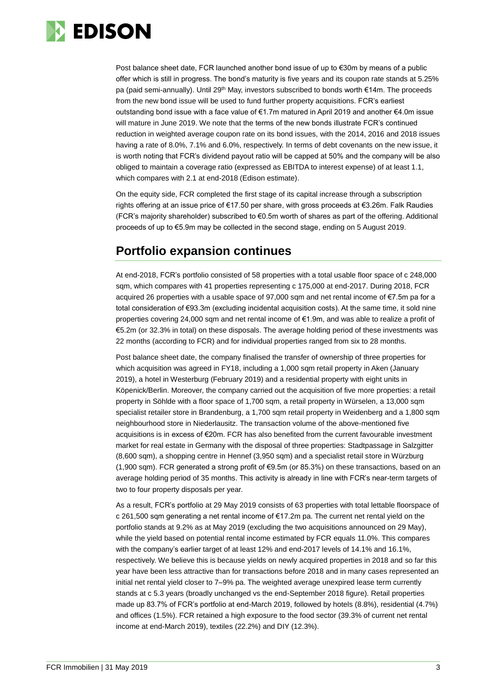

Post balance sheet date, FCR launched another bond issue of up to €30m by means of a public offer which is still in progress. The bond's maturity is five years and its coupon rate stands at 5.25% pa (paid semi-annually). Until 29<sup>th</sup> May, investors subscribed to bonds worth €14m. The proceeds from the new bond issue will be used to fund further property acquisitions. FCR's earliest outstanding bond issue with a face value of €1.7m matured in April 2019 and another €4.0m issue will mature in June 2019. We note that the terms of the new bonds illustrate FCR's continued reduction in weighted average coupon rate on its bond issues, with the 2014, 2016 and 2018 issues having a rate of 8.0%, 7.1% and 6.0%, respectively. In terms of debt covenants on the new issue, it is worth noting that FCR's dividend payout ratio will be capped at 50% and the company will be also obliged to maintain a coverage ratio (expressed as EBITDA to interest expense) of at least 1.1, which compares with 2.1 at end-2018 (Edison estimate).

On the equity side, FCR completed the first stage of its capital increase through a subscription rights offering at an issue price of €17.50 per share, with gross proceeds at €3.26m. Falk Raudies (FCR's majority shareholder) subscribed to €0.5m worth of shares as part of the offering. Additional proceeds of up to €5.9m may be collected in the second stage, ending on 5 August 2019.

### **Portfolio expansion continues**

At end-2018, FCR's portfolio consisted of 58 properties with a total usable floor space of c 248,000 sqm, which compares with 41 properties representing c 175,000 at end-2017. During 2018, FCR acquired 26 properties with a usable space of 97,000 sqm and net rental income of €7.5m pa for a total consideration of €93.3m (excluding incidental acquisition costs). At the same time, it sold nine properties covering 24,000 sqm and net rental income of €1.9m, and was able to realize a profit of €5.2m (or 32.3% in total) on these disposals. The average holding period of these investments was 22 months (according to FCR) and for individual properties ranged from six to 28 months.

Post balance sheet date, the company finalised the transfer of ownership of three properties for which acquisition was agreed in FY18, including a 1,000 sqm retail property in Aken (January 2019), a hotel in Westerburg (February 2019) and a residential property with eight units in Köpenick/Berlin. Moreover, the company carried out the acquisition of five more properties: a retail property in Söhlde with a floor space of 1,700 sqm, a retail property in Würselen, a 13,000 sqm specialist retailer store in Brandenburg, a 1,700 sqm retail property in Weidenberg and a 1,800 sqm neighbourhood store in Niederlausitz. The transaction volume of the above-mentioned five acquisitions is in excess of €20m. FCR has also benefited from the current favourable investment market for real estate in Germany with the disposal of three properties: Stadtpassage in Salzgitter (8,600 sqm), a shopping centre in Hennef (3,950 sqm) and a specialist retail store in Würzburg (1,900 sqm). FCR generated a strong profit of €9.5m (or 85.3%) on these transactions, based on an average holding period of 35 months. This activity is already in line with FCR's near-term targets of two to four property disposals per year.

As a result, FCR's portfolio at 29 May 2019 consists of 63 properties with total lettable floorspace of c 261,500 sqm generating a net rental income of €17.2m pa. The current net rental yield on the portfolio stands at 9.2% as at May 2019 (excluding the two acquisitions announced on 29 May), while the yield based on potential rental income estimated by FCR equals 11.0%. This compares with the company's earlier target of at least 12% and end-2017 levels of 14.1% and 16.1%, respectively. We believe this is because yields on newly acquired properties in 2018 and so far this year have been less attractive than for transactions before 2018 and in many cases represented an initial net rental yield closer to 7–9% pa. The weighted average unexpired lease term currently stands at c 5.3 years (broadly unchanged vs the end-September 2018 figure). Retail properties made up 83.7% of FCR's portfolio at end-March 2019, followed by hotels (8.8%), residential (4.7%) and offices (1.5%). FCR retained a high exposure to the food sector (39.3% of current net rental income at end-March 2019), textiles (22.2%) and DIY (12.3%).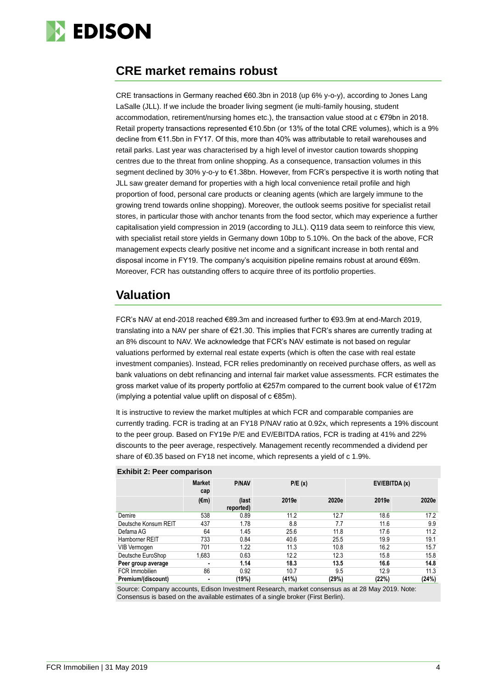

### **CRE market remains robust**

CRE transactions in Germany reached €60.3bn in 2018 (up 6% y-o-y), according to Jones Lang LaSalle (JLL). If we include the broader living segment (ie multi-family housing, student accommodation, retirement/nursing homes etc.), the transaction value stood at c €79bn in 2018. Retail property transactions represented €10.5bn (or 13% of the total CRE volumes), which is a 9% decline from €11.5bn in FY17. Of this, more than 40% was attributable to retail warehouses and retail parks. Last year was characterised by a high level of investor caution towards shopping centres due to the threat from online shopping. As a consequence, transaction volumes in this segment declined by 30% y-o-y to €1.38bn. However, from FCR's perspective it is worth noting that JLL saw greater demand for properties with a high local convenience retail profile and high proportion of food, personal care products or cleaning agents (which are largely immune to the growing trend towards online shopping). Moreover, the outlook seems positive for specialist retail stores, in particular those with anchor tenants from the food sector, which may experience a further capitalisation yield compression in 2019 (according to JLL). Q119 data seem to reinforce this view, with specialist retail store yields in Germany down 10bp to 5.10%. On the back of the above, FCR management expects clearly positive net income and a significant increase in both rental and disposal income in FY19. The company's acquisition pipeline remains robust at around €69m. Moreover, FCR has outstanding offers to acquire three of its portfolio properties.

### **Valuation**

FCR's NAV at end-2018 reached €89.3m and increased further to €93.9m at end-March 2019, translating into a NAV per share of €21.30. This implies that FCR's shares are currently trading at an 8% discount to NAV. We acknowledge that FCR's NAV estimate is not based on regular valuations performed by external real estate experts (which is often the case with real estate investment companies). Instead, FCR relies predominantly on received purchase offers, as well as bank valuations on debt refinancing and internal fair market value assessments. FCR estimates the gross market value of its property portfolio at €257m compared to the current book value of €172m (implying a potential value uplift on disposal of  $c \in 85m$ ).

It is instructive to review the market multiples at which FCR and comparable companies are currently trading. FCR is trading at an FY18 P/NAV ratio at 0.92x, which represents a 19% discount to the peer group. Based on FY19e P/E and EV/EBITDA ratios, FCR is trading at 41% and 22% discounts to the peer average, respectively. Management recently recommended a dividend per share of €0.35 based on FY18 net income, which represents a yield of c 1.9%.

|                      | <b>Market</b><br>cap | <b>P/NAV</b>       |       | P/E(x) |       | EV/EBITDA (x) |  |
|----------------------|----------------------|--------------------|-------|--------|-------|---------------|--|
|                      | $(\epsilon m)$       | (last<br>reported) | 2019e | 2020e  | 2019e | 2020e         |  |
| Demire               | 538                  | 0.89               | 11.2  | 12.7   | 18.6  | 17.2          |  |
| Deutsche Konsum REIT | 437                  | 1.78               | 8.8   | 7.7    | 11.6  | 9.9           |  |
| Defama AG            | 64                   | 1.45               | 25.6  | 11.8   | 17.6  | 11.2          |  |
| Hamborner REIT       | 733                  | 0.84               | 40.6  | 25.5   | 19.9  | 19.1          |  |
| VIB Vermogen         | 701                  | 1.22               | 11.3  | 10.8   | 16.2  | 15.7          |  |
| Deutsche EuroShop    | 1.683                | 0.63               | 12.2  | 12.3   | 15.8  | 15.8          |  |
| Peer group average   | $\blacksquare$       | 1.14               | 18.3  | 13.5   | 16.6  | 14.8          |  |
| FCR Immobilien       | 86                   | 0.92               | 10.7  | 9.5    | 12.9  | 11.3          |  |
| Premium/(discount)   | $\blacksquare$       | (19%)              | (41%) | (29%)  | (22%) | (24%)         |  |

#### **Exhibit 2: Peer comparison**

Source: Company accounts, Edison Investment Research, market consensus as at 28 May 2019. Note: Consensus is based on the available estimates of a single broker (First Berlin).